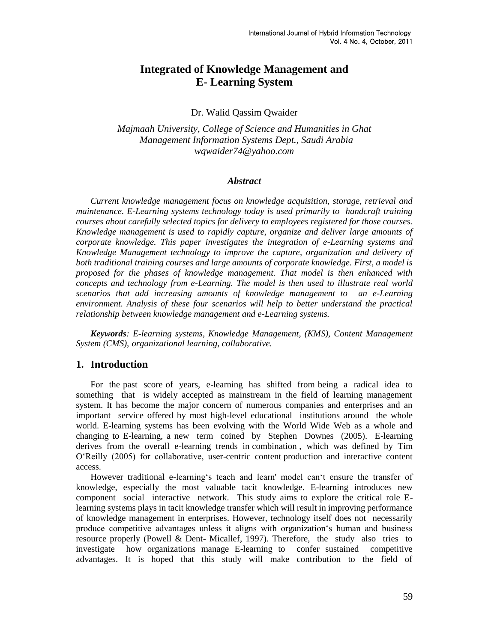# **Integrated of Knowledge Management and E- Learning System**

#### Dr. Walid Qassim Qwaider

*Majmaah University, College of Science and Humanities in Ghat Management Information Systems Dept., Saudi Arabia [wqwaider74@yahoo.com](mailto:wqwaider74@yahoo.com)*

#### *Abstract*

*Current knowledge management focus on knowledge acquisition, storage, retrieval and maintenance. E-Learning systems technology today is used primarily to handcraft training courses about carefully selected topics for delivery to employees registered for those courses. Knowledge management is used to rapidly capture, organize and deliver large amounts of corporate knowledge. This paper investigates the integration of e-Learning systems and Knowledge Management technology to improve the capture, organization and delivery of both traditional training courses and large amounts of corporate knowledge. First, a model is proposed for the phases of knowledge management. That model is then enhanced with concepts and technology from e-Learning. The model is then used to illustrate real world scenarios that add increasing amounts of knowledge management to an e-Learning environment. Analysis of these four scenarios will help to better understand the practical relationship between knowledge management and e-Learning systems.*

*Keywords: E-learning systems, Knowledge Management, (KMS), Content Management System (CMS), organizational learning, collaborative.*

### **1. Introduction**

For the past score of years, e-learning has shifted from being a radical idea to something that is widely accepted as mainstream in the field of learning management system. It has become the major concern of numerous companies and enterprises and an important service offered by most high-level educational institutions around the whole world. E-learning systems has been evolving with the World Wide Web as a whole and changing to E-learning, a new term coined by Stephen Downes (2005). E-learning derives from the overall e-learning trends in combination , which was defined by Tim O"Reilly (2005) for collaborative, user-centric content production and interactive content access.

However traditional e-learning"s teach and learn' model can"t ensure the transfer of knowledge, especially the most valuable tacit knowledge. E-learning introduces new component social interactive network. This study aims to explore the critical role Elearning systems plays in tacit knowledge transfer which will result in improving performance of knowledge management in enterprises. However, technology itself does not necessarily produce competitive advantages unless it aligns with organization"s human and business resource properly (Powell & Dent- Micallef, 1997). Therefore, the study also tries to investigate how organizations manage E-learning to confer sustained competitive advantages. It is hoped that this study will make contribution to the field of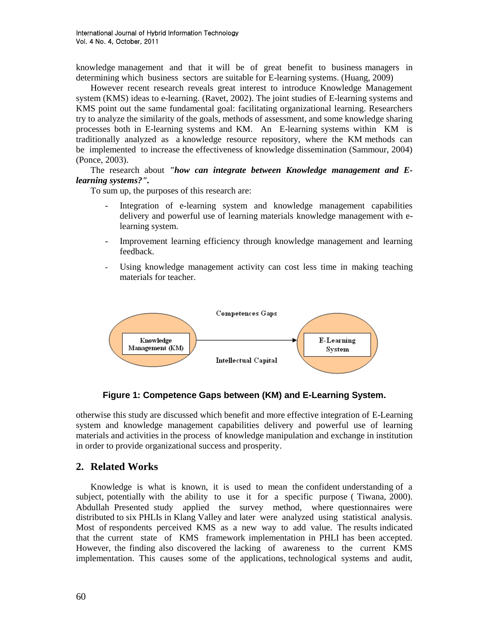knowledge management and that it will be of great benefit to business managers in determining which business sectors are suitable for E-learning systems. (Huang, 2009)

However recent research reveals great interest to introduce Knowledge Management system (KMS) ideas to e-learning. (Ravet, 2002). The joint studies of E-learning systems and KMS point out the same fundamental goal: facilitating organizational learning. Researchers try to analyze the similarity of the goals, methods of assessment, and some knowledge sharing processes both in E-learning systems and KM. An E-learning systems within KM is traditionally analyzed as a knowledge resource repository, where the KM methods can be implemented to increase the effectiveness of knowledge dissemination (Sammour, 2004) (Ponce, 2003).

### The research about *"how can integrate between Knowledge management and Elearning systems?".*

To sum up, the purposes of this research are:

- Integration of e-learning system and knowledge management capabilities delivery and powerful use of learning materials knowledge management with elearning system.
- Improvement learning efficiency through knowledge management and learning feedback.
- Using knowledge management activity can cost less time in making teaching materials for teacher.



### **Figure 1: Competence Gaps between (KM) and E-Learning System.**

otherwise this study are discussed which benefit and more effective integration of E-Learning system and knowledge management capabilities delivery and powerful use of learning materials and activities in the process of knowledge manipulation and exchange in institution in order to provide organizational success and prosperity.

### **2. Related Works**

Knowledge is what is known, it is used to mean the confident understanding of a subject, potentially with the ability to use it for a specific purpose ( Tiwana, 2000). Abdullah Presented study applied the survey method, where questionnaires were distributed to six PHLIs in Klang Valley and later were analyzed using statistical analysis. Most of respondents perceived KMS as a new way to add value. The results indicated that the current state of KMS framework implementation in PHLI has been accepted. However, the finding also discovered the lacking of awareness to the current KMS implementation. This causes some of the applications, technological systems and audit,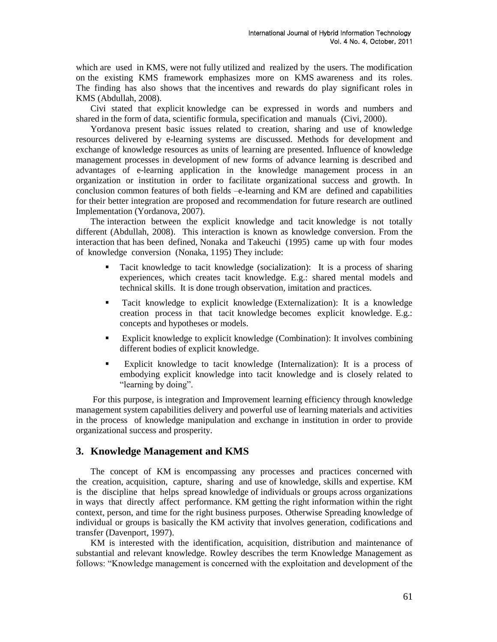which are used in KMS, were not fully utilized and realized by the users. The modification on the existing KMS framework emphasizes more on KMS awareness and its roles. The finding has also shows that the incentives and rewards do play significant roles in KMS (Abdullah, 2008).

Civi stated that explicit knowledge can be expressed in words and numbers and shared in the form of data, scientific formula, specification and manuals (Civi, 2000).

Yordanova present basic issues related to creation, sharing and use of knowledge resources delivered by e-learning systems are discussed. Methods for development and exchange of knowledge resources as units of learning are presented. Influence of knowledge management processes in development of new forms of advance learning is described and advantages of e-learning application in the knowledge management process in an organization or institution in order to facilitate organizational success and growth. In conclusion common features of both fields –e-learning and KM are defined and capabilities for their better integration are proposed and recommendation for future research are outlined Implementation (Yordanova, 2007).

The interaction between the explicit knowledge and tacit knowledge is not totally different (Abdullah, 2008). This interaction is known as knowledge conversion. From the interaction that has been defined, Nonaka and Takeuchi (1995) came up with four modes of knowledge conversion (Nonaka, 1195) They include:

- Tacit knowledge to tacit knowledge (socialization): It is a process of sharing experiences, which creates tacit knowledge. E.g.: shared mental models and technical skills. It is done trough observation, imitation and practices.
- Tacit knowledge to explicit knowledge (Externalization): It is a knowledge creation process in that tacit knowledge becomes explicit knowledge. E.g.: concepts and hypotheses or models.
- Explicit knowledge to explicit knowledge (Combination): It involves combining different bodies of explicit knowledge.
- Explicit knowledge to tacit knowledge (Internalization): It is a process of embodying explicit knowledge into tacit knowledge and is closely related to "learning by doing".

For this purpose, is integration and Improvement learning efficiency through knowledge management system capabilities delivery and powerful use of learning materials and activities in the process of knowledge manipulation and exchange in institution in order to provide organizational success and prosperity.

### **3. Knowledge Management and KMS**

The concept of KM is encompassing any processes and practices concerned with the creation, acquisition, capture, sharing and use of knowledge, skills and expertise. KM is the discipline that helps spread knowledge of individuals or groups across organizations in ways that directly affect performance. KM getting the right information within the right context, person, and time for the right business purposes. Otherwise Spreading knowledge of individual or groups is basically the KM activity that involves generation, codifications and transfer (Davenport, 1997).

KM is interested with the identification, acquisition, distribution and maintenance of substantial and relevant knowledge. Rowley describes the term Knowledge Management as follows: "Knowledge management is concerned with the exploitation and development of the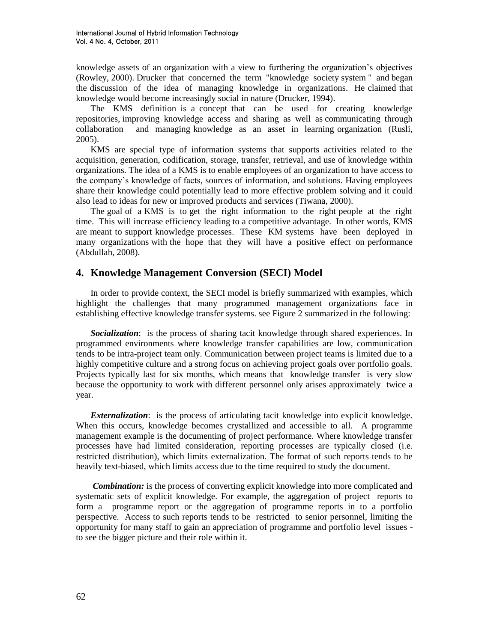knowledge assets of an organization with a view to furthering the organization"s objectives (Rowley, 2000). Drucker that concerned the term "knowledge society system " and began the discussion of the idea of managing knowledge in organizations. He claimed that knowledge would become increasingly social in nature (Drucker, 1994).

The KMS definition is a concept that can be used for creating knowledge repositories, improving knowledge access and sharing as well as communicating through collaboration and managing knowledge as an asset in learning organization (Rusli, 2005).

KMS are special type of information systems that supports activities related to the acquisition, generation, codification, storage, transfer, retrieval, and use of knowledge within organizations. The idea of a KMS is to enable employees of an organization to have access to the company"s knowledge of facts, sources of information, and solutions. Having employees share their knowledge could potentially lead to more effective problem solving and it could also lead to ideas for new or improved products and services (Tiwana, 2000).

The goal of a KMS is to get the right information to the right people at the right time. This will increase efficiency leading to a competitive advantage. In other words, KMS are meant to support knowledge processes. These KM systems have been deployed in many organizations with the hope that they will have a positive effect on performance (Abdullah, 2008).

### **4. Knowledge Management Conversion (SECI) Model**

In order to provide context, the SECI model is briefly summarized with examples, which highlight the challenges that many programmed management organizations face in establishing effective knowledge transfer systems. see Figure 2 summarized in the following:

*Socialization*: is the process of sharing tacit knowledge through shared experiences. In programmed environments where knowledge transfer capabilities are low, communication tends to be intra-project team only. Communication between project teams is limited due to a highly competitive culture and a strong focus on achieving project goals over portfolio goals. Projects typically last for six months, which means that knowledge transfer is very slow because the opportunity to work with different personnel only arises approximately twice a year.

*Externalization*: is the process of articulating tacit knowledge into explicit knowledge. When this occurs, knowledge becomes crystallized and accessible to all. A programme management example is the documenting of project performance. Where knowledge transfer processes have had limited consideration, reporting processes are typically closed (i.e. restricted distribution), which limits externalization. The format of such reports tends to be heavily text-biased, which limits access due to the time required to study the document.

*Combination:* is the process of converting explicit knowledge into more complicated and systematic sets of explicit knowledge. For example, the aggregation of project reports to form a programme report or the aggregation of programme reports in to a portfolio perspective. Access to such reports tends to be restricted to senior personnel, limiting the opportunity for many staff to gain an appreciation of programme and portfolio level issues to see the bigger picture and their role within it.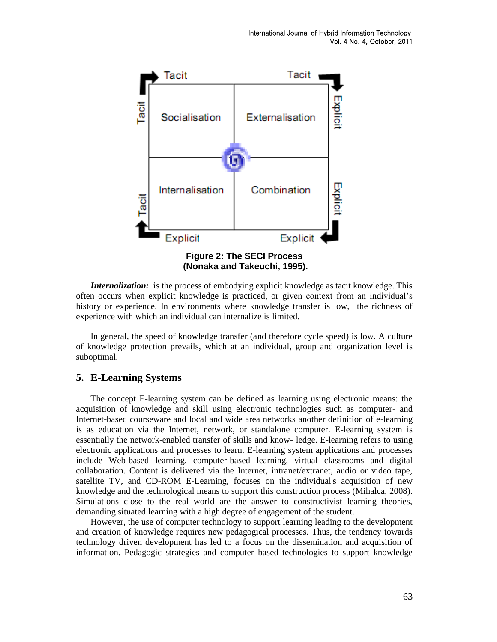

*Internalization:* is the process of embodying explicit knowledge as tacit knowledge. This often occurs when explicit knowledge is practiced, or given context from an individual"s history or experience. In environments where knowledge transfer is low, the richness of experience with which an individual can internalize is limited.

In general, the speed of knowledge transfer (and therefore cycle speed) is low. A culture of knowledge protection prevails, which at an individual, group and organization level is suboptimal.

### **5. E-Learning Systems**

The concept E-learning system can be defined as learning using electronic means: the acquisition of knowledge and skill using electronic technologies such as computer- and Internet-based courseware and local and wide area networks another definition of e-learning is as education via the Internet, network, or standalone computer. E-learning system is essentially the network-enabled transfer of skills and know- ledge. E-learning refers to using electronic applications and processes to learn. E-learning system applications and processes include Web-based learning, computer-based learning, virtual classrooms and digital collaboration. Content is delivered via the Internet, intranet/extranet, audio or video tape, satellite TV, and CD-ROM E-Learning, focuses on the individual's acquisition of new knowledge and the technological means to support this construction process (Mihalca, 2008). Simulations close to the real world are the answer to constructivist learning theories, demanding situated learning with a high degree of engagement of the student.

However, the use of computer technology to support learning leading to the development and creation of knowledge requires new pedagogical processes. Thus, the tendency towards technology driven development has led to a focus on the dissemination and acquisition of information. Pedagogic strategies and computer based technologies to support knowledge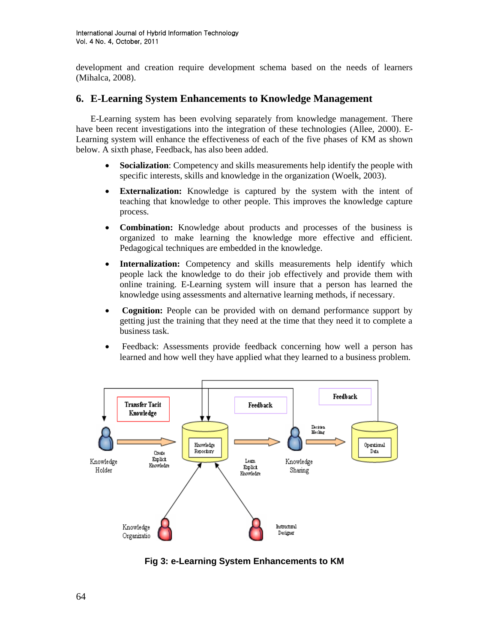development and creation require development schema based on the needs of learners (Mihalca, 2008).

## **6. E-Learning System Enhancements to Knowledge Management**

E-Learning system has been evolving separately from knowledge management. There have been recent investigations into the integration of these technologies (Allee, 2000). E-Learning system will enhance the effectiveness of each of the five phases of KM as shown below. A sixth phase, Feedback, has also been added.

- **Socialization**: Competency and skills measurements help identify the people with specific interests, skills and knowledge in the organization (Woelk, 2003).
- **Externalization:** Knowledge is captured by the system with the intent of teaching that knowledge to other people. This improves the knowledge capture process.
- **Combination:** Knowledge about products and processes of the business is organized to make learning the knowledge more effective and efficient. Pedagogical techniques are embedded in the knowledge.
- **Internalization:** Competency and skills measurements help identify which people lack the knowledge to do their job effectively and provide them with online training. E-Learning system will insure that a person has learned the knowledge using assessments and alternative learning methods, if necessary.
- **Cognition:** People can be provided with on demand performance support by getting just the training that they need at the time that they need it to complete a business task.
- Feedback: Assessments provide feedback concerning how well a person has learned and how well they have applied what they learned to a business problem.



**Fig 3: e-Learning System Enhancements to KM**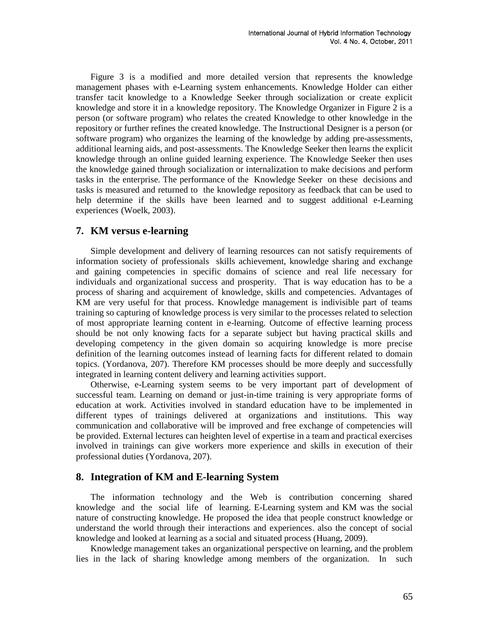Figure 3 is a modified and more detailed version that represents the knowledge management phases with e-Learning system enhancements. Knowledge Holder can either transfer tacit knowledge to a Knowledge Seeker through socialization or create explicit knowledge and store it in a knowledge repository. The Knowledge Organizer in Figure 2 is a person (or software program) who relates the created Knowledge to other knowledge in the repository or further refines the created knowledge. The Instructional Designer is a person (or software program) who organizes the learning of the knowledge by adding pre-assessments, additional learning aids, and post-assessments. The Knowledge Seeker then learns the explicit knowledge through an online guided learning experience. The Knowledge Seeker then uses the knowledge gained through socialization or internalization to make decisions and perform tasks in the enterprise. The performance of the Knowledge Seeker on these decisions and tasks is measured and returned to the knowledge repository as feedback that can be used to help determine if the skills have been learned and to suggest additional e-Learning experiences (Woelk, 2003).

### **7. KM versus e-learning**

Simple development and delivery of learning resources can not satisfy requirements of information society of professionals skills achievement, knowledge sharing and exchange and gaining competencies in specific domains of science and real life necessary for individuals and organizational success and prosperity. That is way education has to be a process of sharing and acquirement of knowledge, skills and competencies. Advantages of KM are very useful for that process. Knowledge management is indivisible part of teams training so capturing of knowledge process is very similar to the processes related to selection of most appropriate learning content in e-learning. Outcome of effective learning process should be not only knowing facts for a separate subject but having practical skills and developing competency in the given domain so acquiring knowledge is more precise definition of the learning outcomes instead of learning facts for different related to domain topics. (Yordanova, 207). Therefore KM processes should be more deeply and successfully integrated in learning content delivery and learning activities support.

Otherwise, e-Learning system seems to be very important part of development of successful team. Learning on demand or just-in-time training is very appropriate forms of education at work. Activities involved in standard education have to be implemented in different types of trainings delivered at organizations and institutions. This way communication and collaborative will be improved and free exchange of competencies will be provided. External lectures can heighten level of expertise in a team and practical exercises involved in trainings can give workers more experience and skills in execution of their professional duties (Yordanova, 207).

### **8. Integration of KM and E-learning System**

The information technology and the Web is contribution concerning shared knowledge and the social life of learning. E-Learning system and KM was the social nature of constructing knowledge. He proposed the idea that people construct knowledge or understand the world through their interactions and experiences. also the concept of social knowledge and looked at learning as a social and situated process (Huang, 2009).

Knowledge management takes an organizational perspective on learning, and the problem lies in the lack of sharing knowledge among members of the organization. In such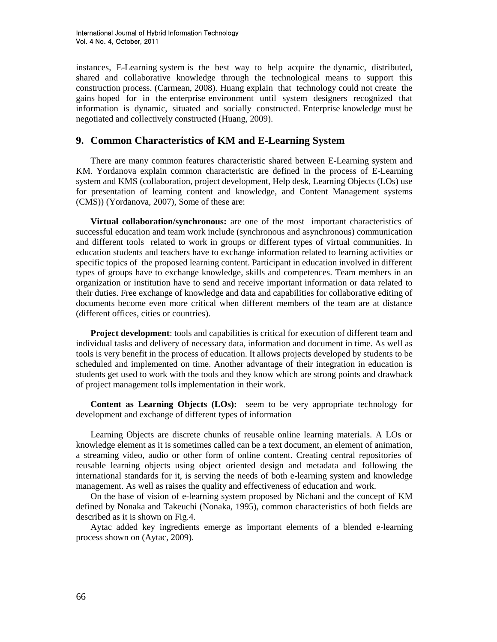instances, E-Learning system is the best way to help acquire the dynamic, distributed, shared and collaborative knowledge through the technological means to support this construction process. (Carmean, 2008). Huang explain that technology could not create the gains hoped for in the enterprise environment until system designers recognized that information is dynamic, situated and socially constructed. Enterprise knowledge must be negotiated and collectively constructed (Huang, 2009).

### **9. Common Characteristics of KM and E-Learning System**

There are many common features characteristic shared between E-Learning system and KM. Yordanova explain common characteristic are defined in the process of E-Learning system and KMS (collaboration, project development, Help desk, Learning Objects (LOs) use for presentation of learning content and knowledge, and Content Management systems (CMS)) (Yordanova, 2007), Some of these are:

**Virtual collaboration/synchronous:** are one of the most important characteristics of successful education and team work include (synchronous and asynchronous) communication and different tools related to work in groups or different types of virtual communities. In education students and teachers have to exchange information related to learning activities or specific topics of the proposed learning content. Participant in education involved in different types of groups have to exchange knowledge, skills and competences. Team members in an organization or institution have to send and receive important information or data related to their duties. Free exchange of knowledge and data and capabilities for collaborative editing of documents become even more critical when different members of the team are at distance (different offices, cities or countries).

**Project development:** tools and capabilities is critical for execution of different team and individual tasks and delivery of necessary data, information and document in time. As well as tools is very benefit in the process of education. It allows projects developed by students to be scheduled and implemented on time. Another advantage of their integration in education is students get used to work with the tools and they know which are strong points and drawback of project management tolls implementation in their work.

**Content as Learning Objects (LOs):** seem to be very appropriate technology for development and exchange of different types of information

Learning Objects are discrete chunks of reusable online learning materials. A LOs or knowledge element as it is sometimes called can be a text document, an element of animation, a streaming video, audio or other form of online content. Creating central repositories of reusable learning objects using object oriented design and metadata and following the international standards for it, is serving the needs of both e-learning system and knowledge management. As well as raises the quality and effectiveness of education and work.

On the base of vision of e-learning system proposed by Nichani and the concept of KM defined by Nonaka and Takeuchi (Nonaka, 1995), common characteristics of both fields are described as it is shown on Fig.4.

Aytac added key ingredients emerge as important elements of a blended e-learning process shown on (Aytac, 2009).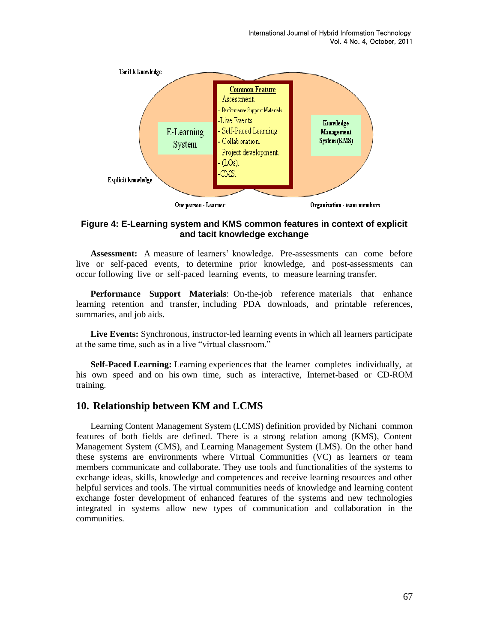

### **Figure 4: E-Learning system and KMS common features in context of explicit and tacit knowledge exchange**

Assessment: A measure of learners' knowledge. Pre-assessments can come before live or self-paced events, to determine prior knowledge, and post-assessments can occur following live or self-paced learning events, to measure learning transfer.

**Performance Support Materials**: On-the-job reference materials that enhance learning retention and transfer, including PDA downloads, and printable references, summaries, and job aids.

**Live Events:** Synchronous, instructor-led learning events in which all learners participate at the same time, such as in a live "virtual classroom."

**Self-Paced Learning:** Learning experiences that the learner completes individually, at his own speed and on his own time, such as interactive, Internet-based or CD-ROM training.

### **10. Relationship between KM and LCMS**

Learning Content Management System (LCMS) definition provided by Nichani common features of both fields are defined. There is a strong relation among (KMS), Content Management System (CMS), and Learning Management System (LMS). On the other hand these systems are environments where Virtual Communities (VC) as learners or team members communicate and collaborate. They use tools and functionalities of the systems to exchange ideas, skills, knowledge and competences and receive learning resources and other helpful services and tools. The virtual communities needs of knowledge and learning content exchange foster development of enhanced features of the systems and new technologies integrated in systems allow new types of communication and collaboration in the communities.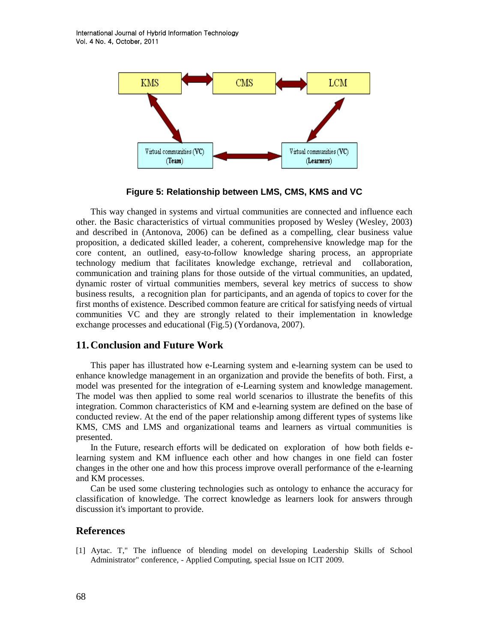International Journal of Hybrid Information Technology Vol. 4 No. 4, October, 2011



**Figure 5: Relationship between LMS, CMS, KMS and VC**

This way changed in systems and virtual communities are connected and influence each other. the Basic characteristics of virtual communities proposed by Wesley (Wesley, 2003) and described in (Antonova, 2006) can be defined as a compelling, clear business value proposition, a dedicated skilled leader, a coherent, comprehensive knowledge map for the core content, an outlined, easy-to-follow knowledge sharing process, an appropriate technology medium that facilitates knowledge exchange, retrieval and collaboration, communication and training plans for those outside of the virtual communities, an updated, dynamic roster of virtual communities members, several key metrics of success to show business results, a recognition plan for participants, and an agenda of topics to cover for the first months of existence. Described common feature are critical for satisfying needs of virtual communities VC and they are strongly related to their implementation in knowledge exchange processes and educational (Fig.5) (Yordanova, 2007).

### **11.Conclusion and Future Work**

This paper has illustrated how e-Learning system and e-learning system can be used to enhance knowledge management in an organization and provide the benefits of both. First, a model was presented for the integration of e-Learning system and knowledge management. The model was then applied to some real world scenarios to illustrate the benefits of this integration. Common characteristics of KM and e-learning system are defined on the base of conducted review. At the end of the paper relationship among different types of systems like KMS, CMS and LMS and organizational teams and learners as virtual communities is presented.

In the Future, research efforts will be dedicated on exploration of how both fields elearning system and KM influence each other and how changes in one field can foster changes in the other one and how this process improve overall performance of the e-learning and KM processes.

Can be used some clustering technologies such as ontology to enhance the accuracy for classification of knowledge. The correct knowledge as learners look for answers through discussion it's important to provide.

#### **References**

[1] Aytac. T," The influence of blending model on developing Leadership Skills of School Administrator" conference, - Applied Computing, special Issue on ICIT 2009.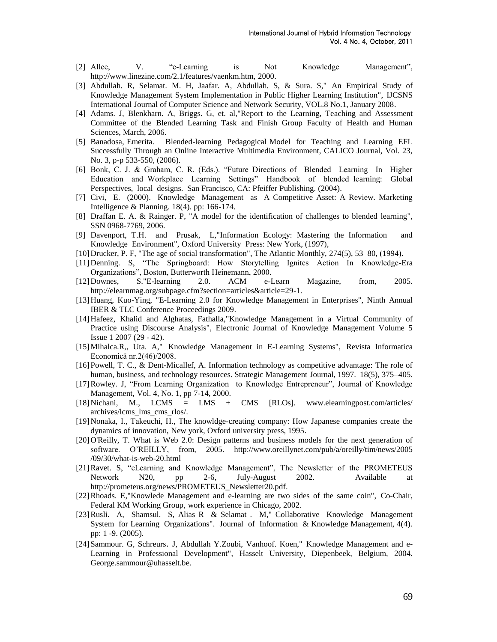- [2] Allee, V. "e-Learning is Not Knowledge Management", http://www.linezine.com/2.1/features/vaenkm.htm, 2000.
- [3] Abdullah. R, Selamat. M. H, Jaafar. A, Abdullah. S, & Sura. S," An Empirical Study of Knowledge Management System Implementation in Public Higher Learning Institution", IJCSNS International Journal of Computer Science and Network Security, VOL.8 No.1, January 2008.
- [4] Adams. J, Blenkharn. A, Briggs. G, et. al,"Report to the Learning, Teaching and Assessment Committee of the Blended Learning Task and Finish Group Faculty of Health and Human Sciences, March, 2006.
- [5] Banadosa, Emerita. Blended-learning Pedagogical Model for Teaching and Learning EFL Successfully Through an Online Interactive Multimedia Environment, CALICO Journal, Vol. 23, No. 3, p-p 533-550, (2006).
- [6] Bonk, C. J. & Graham, C. R. (Eds.). "Future Directions of Blended Learning In Higher Education and Workplace Learning Settings" Handbook of blended learning: Global Perspectives, local designs. San Francisco, CA: Pfeiffer Publishing. (2004).
- [7] Civi, E. (2000). Knowledge Management as A Competitive Asset: A Review. Marketing Intelligence & Planning. 18(4). pp: 166-174.
- [8] Draffan E. A. & Rainger. P, "A model for the identification of challenges to blended learning", SSN 0968-7769, 2006.
- [9] Davenport, T.H. and Prusak, L,"Information Ecology: Mastering the Information and Knowledge Environment", Oxford University Press: New York, (1997),
- [10]Drucker, P. F, "The age of social transformation", The Atlantic Monthly, 274(5), 53–80, (1994).
- [11]Denning. S, "The Springboard: How Storytelling Ignites Action In Knowledge-Era Organizations", Boston, Butterworth Heinemann, 2000.
- [12]Downes, S."E-learning 2.0. ACM e-Learn Magazine, from, 2005. http://elearnmag.org/subpage.cfm?section=articles&article=29-1.
- [13]Huang, Kuo-Ying, "E-Learning 2.0 for Knowledge Management in Enterprises", Ninth Annual IBER & TLC Conference Proceedings 2009.
- [14]Hafeez, Khalid and Alghatas, Fathalla,"Knowledge Management in a Virtual Community of Practice using Discourse Analysis", Electronic Journal of Knowledge Management Volume 5 Issue 1 2007 (29 - 42).
- [15]Mihalca.R,, Uta. A," Knowledge Management in E-Learning Systems", Revista Informatica Economică nr.2(46)/2008.
- [16]Powell, T. C., & Dent-Micallef, A. Information technology as competitive advantage: The role of human, business, and technology resources. Strategic Management Journal, 1997. 18(5), 375–405.
- [17]Rowley. J, "From Learning Organization to Knowledge Entrepreneur", Journal of Knowledge Management, Vol. 4, No. 1, pp 7-14, 2000.
- [18]Nichani, M., LCMS = LMS + CMS [RLOs]. www.elearningpost.com/articles/ archives/lcms\_lms\_cms\_rlos/.
- [19]Nonaka, I., Takeuchi, H., The knowldge-creating company: How Japanese companies create the dynamics of innovation, New york, Oxford university press, 1995.
- [20]O'Reilly, T. What is Web 2.0: Design patterns and business models for the next generation of software. O"REILLY, from, 2005. http://www.oreillynet.com/pub/a/oreilly/tim/news/2005 /09/30/what-is-web-20.html
- [21]Ravet. S, "eLearning and Knowledge Management", The Newsletter of the PROMETEUS Network N20, pp 2-6, July-August 2002. Available at http://prometeus.org/news/PROMETEUS\_Newsletter20.pdf.
- [22]Rhoads. E,"Knowlede Management and e-learning are two sides of the same coin", Co-Chair, Federal KM Working Group, work experience in Chicago, 2002.
- [23]Rusli. A, Shamsul. S, Alias R & Selamat . M," Collaborative Knowledge Management System for Learning Organizations". Journal of Information & Knowledge Management, 4(4). pp: 1 -9. (2005).
- [24]Sammour. G, Schreurs. J, Abdullah Y.Zoubi, Vanhoof. Koen," Knowledge Management and e-Learning in Professional Development", Hasselt University, Diepenbeek, Belgium, 2004. George.sammour@uhasselt.be.